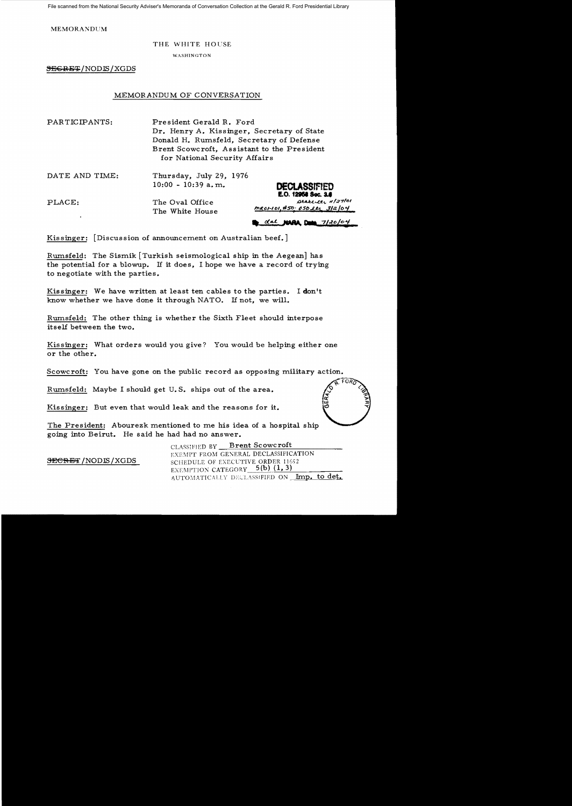File scanned from the National Security Adviser's Memoranda of Conversation Collection at the Gerald R. Ford Presidential Library

MEMORANDUM

## THE WHITE HOUSE

WASHINGTON

 $$ 

## MEMORANDUM OF CONVERSATION

| PARTICIPANTS:  | President Gerald R. Ford<br>Dr. Henry A. Kissinger, Secretary of State<br>Donald H. Rumsfeld, Secretary of Defense<br>Brent Scowcroft, Assistant to the President<br>for National Security Affairs |                     |
|----------------|----------------------------------------------------------------------------------------------------------------------------------------------------------------------------------------------------|---------------------|
| DATE AND TIME: | Thursday, July 29, 1976<br>$10:00 - 10:39$ a.m.                                                                                                                                                    | <b>DECLASSIFIED</b> |

PLACE: The Oval Office The White House *meotiol*, #50. 050 ltd. 3/2/04

dal **NAPA Dun** 7/20/04

**E.O. 12968 800. 3.8**<br>*Atabelly, 1127101* 

Kissinger: [Discussion of announcement on Australian beef.]

Rumsfe1d: The Sismik [Turkish seismological ship in the Aegean] has the potential for a blowup. If it does, I hope we have a record of trying to negotiate with the parties.

Kissinger: We have written at least ten cables to the parties. I don't know whether we have done it through NATO. If not, we will.

Rumsfe1d: The other thing is whether the Sixth Fleet should interpose itself between the two.

Kissinger: What orders would you give? You would be helping either one or the other.

Scowcroft: You have gone on the public record as opposing military action.

Rumsfeld: Maybe I should get U.S. ships out of the area.

Kissinger: But even that would leak and the reasons for it.

The President: Abourezk mentioned to me his idea of a hospital ship going into Beirut. He said he had had no answer.

CLASSIFIED BY **Brent Scowcroft** EXEMPT FROM GENERAL DECLASSIFICATION **SECRET**/NODIS/XGDS SCHEDULE OF EXECUTIVE ORDER 11652 EXEMPTION CATEGORY  $-5(b)$   $(1, 3)$ AUTOMATICALLY DECLASSIFIED ON **Imp. to det.**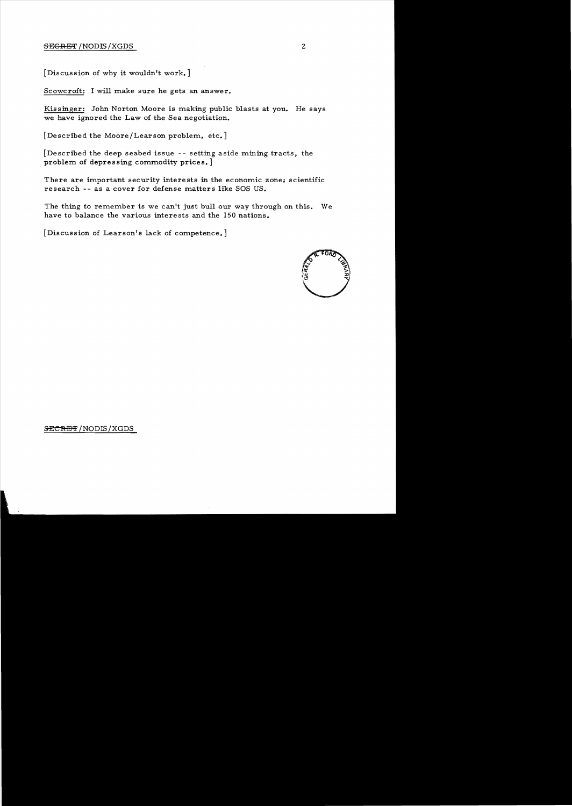## SEGRET /NODIS / XGDS 2

[Discussion of why it wouldn't work.]

Scowcroft: I will make sure he gets an answer.

Kissinger: John Norton Moore is making public blasts at you. He says we have ignored the Law of the Sea negotiation.

[Described the Moore/Learson problem, etc.]

[Described the deep seabed issue -- setting aside mining tracts, the problem of depressing commodity prices.  $\, ]$ 

There are important security interests in the economic zone: scientific research -- as a cover for defense matters like SOS US.

The thing to remember is we can't just bull our way through on this. We have to balance the various interests and the 150 nations.

[Discussion of Learson's lack of competence.]



## SECRET/NODIS/XGDS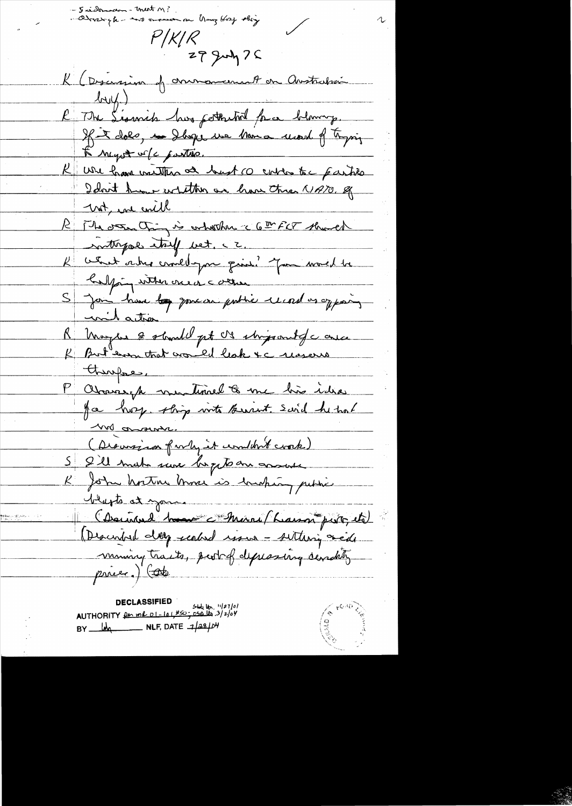- Juidraman - ment M?<br>- Quidrair plus - mo or announce an hong Host shing  $P/K/R$ 29 July 75 K (Discrima de commandant en Anstralien  $l$ wy) l 7 th Lionnik hus petteutrel par blemong. L'import vole partire. K we have vaither at bust co entre to partie unt, en evill R The other thing is orbother a 6th FCT showed interprete talk vet. cz K cent aux croichyon qu'il pour mois le halping wither one of cother S Jan hour <del>le</del> gouern publie mars es exposit milation R Moyers 2 should pt 08 strippart de arce there en P Chariseph montenal 6 me his idea <u> 100 orann.</u> (Dieussian farly it condit cook) R John horton Morris bushing petitie blusts at your Trups at your<br>(Descript day realed resson - sultary red)<br>(Descript day realed resson - sultary read)<br>ming tracts, part of depressing candity pricer.) Cote

**DECLASSIFIED** UEULASSIFIED<br>AUTHORITY <u>for me 01-101#50; 050 lts</u> 3/2/04  $BY$   $M_1$  NLF, DATE  $1/28/104$ 

 $\sqrt{\hat{}}$